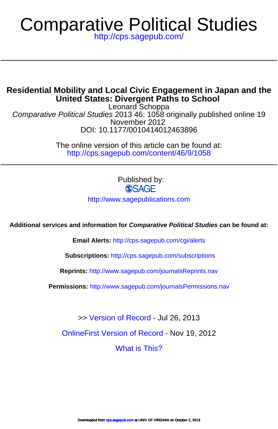# Comparative Political Studies

<http://cps.sagepub.com/>

# **United States: Divergent Paths to School Residential Mobility and Local Civic Engagement in Japan and the**

DOI: 10.1177/0010414012463896 November 2012 Comparative Political Studies 2013 46: 1058 originally published online 19 Leonard Schoppa

> <http://cps.sagepub.com/content/46/9/1058> The online version of this article can be found at:

> > Published by:<br>
> > SAGE

<http://www.sagepublications.com>

**Additional services and information for Comparative Political Studies can be found at:**

**Email Alerts:** <http://cps.sagepub.com/cgi/alerts>

**Subscriptions:** <http://cps.sagepub.com/subscriptions>

**Reprints:** <http://www.sagepub.com/journalsReprints.nav>

**Permissions:** <http://www.sagepub.com/journalsPermissions.nav>

>> [Version of Record -](http://cps.sagepub.com/content/46/9/1058.full.pdf) Jul 26, 2013

[OnlineFirst Version of Record -](http://cps.sagepub.com/content/early/2012/11/15/0010414012463896.full.pdf) Nov 19, 2012

[What is This?](http://online.sagepub.com/site/sphelp/vorhelp.xhtml)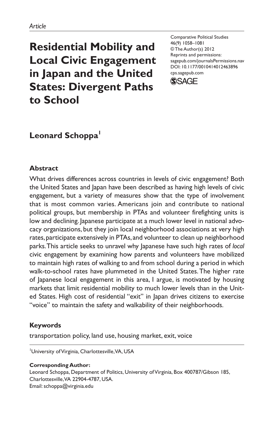**Residential Mobility and Local Civic Engagement in Japan and the United States: Divergent Paths to School**

Comparative Political Studies 46(9) 1058–1081 © The Author(s) 2012 Reprints and permissions: sagepub.com/journalsPermissions.nav DOI: 10.1177/0010414012463896 cps.sagepub.com



# Leonard Schoppa<sup>1</sup>

#### **Abstract**

What drives differences across countries in levels of civic engagement? Both the United States and Japan have been described as having high levels of civic engagement, but a variety of measures show that the type of involvement that is most common varies. Americans join and contribute to national political groups, but membership in PTAs and volunteer firefighting units is low and declining. Japanese participate at a much lower level in national advocacy organizations, but they join local neighborhood associations at very high rates, participate extensively in PTAs, and volunteer to clean up neighborhood parks. This article seeks to unravel why Japanese have such high rates of *local* civic engagement by examining how parents and volunteers have mobilized to maintain high rates of walking to and from school during a period in which walk-to-school rates have plummeted in the United States. The higher rate of Japanese local engagement in this area, I argue, is motivated by housing markets that limit residential mobility to much lower levels than in the United States. High cost of residential "exit" in Japan drives citizens to exercise "voice" to maintain the safety and walkability of their neighborhoods.

#### **Keywords**

transportation policy, land use, housing market, exit, voice

<sup>1</sup>University of Virginia, Charlottesville, VA, USA

#### **Corresponding Author:**

Leonard Schoppa, Department of Politics, University of Virginia, Box 400787/Gibson 185, Charlottesville, VA 22904-4787, USA. Email: schoppa@virginia.edu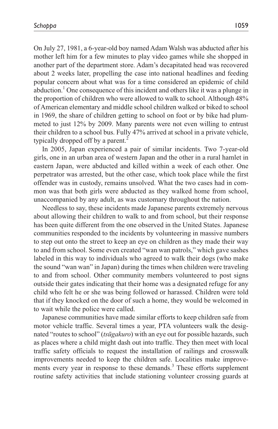On July 27, 1981, a 6-year-old boy named Adam Walsh was abducted after his mother left him for a few minutes to play video games while she shopped in another part of the department store. Adam's decapitated head was recovered about 2 weeks later, propelling the case into national headlines and feeding popular concern about what was for a time considered an epidemic of child abduction.<sup>1</sup> One consequence of this incident and others like it was a plunge in the proportion of children who were allowed to walk to school. Although 48% of American elementary and middle school children walked or biked to school in 1969, the share of children getting to school on foot or by bike had plummeted to just 12% by 2009. Many parents were not even willing to entrust their children to a school bus. Fully 47% arrived at school in a private vehicle, typically dropped off by a parent.<sup>2</sup>

In 2005, Japan experienced a pair of similar incidents. Two 7-year-old girls, one in an urban area of western Japan and the other in a rural hamlet in eastern Japan, were abducted and killed within a week of each other. One perpetrator was arrested, but the other case, which took place while the first offender was in custody, remains unsolved. What the two cases had in common was that both girls were abducted as they walked home from school, unaccompanied by any adult, as was customary throughout the nation.

Needless to say, these incidents made Japanese parents extremely nervous about allowing their children to walk to and from school, but their response has been quite different from the one observed in the United States. Japanese communities responded to the incidents by volunteering in massive numbers to step out onto the street to keep an eye on children as they made their way to and from school. Some even created "wan wan patrols," which gave sashes labeled in this way to individuals who agreed to walk their dogs (who make the sound "wan wan" in Japan) during the times when children were traveling to and from school. Other community members volunteered to post signs outside their gates indicating that their home was a designated refuge for any child who felt he or she was being followed or harassed. Children were told that if they knocked on the door of such a home, they would be welcomed in to wait while the police were called.

Japanese communities have made similar efforts to keep children safe from motor vehicle traffic. Several times a year, PTA volunteers walk the designated "routes to school" (*tsūgakuro*) with an eye out for possible hazards, such as places where a child might dash out into traffic. They then meet with local traffic safety officials to request the installation of railings and crosswalk improvements needed to keep the children safe. Localities make improvements every year in response to these demands.<sup>3</sup> These efforts supplement routine safety activities that include stationing volunteer crossing guards at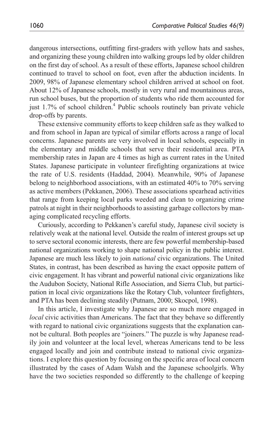dangerous intersections, outfitting first-graders with yellow hats and sashes, and organizing these young children into walking groups led by older children on the first day of school. As a result of these efforts, Japanese school children continued to travel to school on foot, even after the abduction incidents. In 2009, 98% of Japanese elementary school children arrived at school on foot. About 12% of Japanese schools, mostly in very rural and mountainous areas, run school buses, but the proportion of students who ride them accounted for just 1.7% of school children.<sup>4</sup> Public schools routinely ban private vehicle drop-offs by parents.

These extensive community efforts to keep children safe as they walked to and from school in Japan are typical of similar efforts across a range of local concerns. Japanese parents are very involved in local schools, especially in the elementary and middle schools that serve their residential area. PTA membership rates in Japan are 4 times as high as current rates in the United States. Japanese participate in volunteer firefighting organizations at twice the rate of U.S. residents (Haddad, 2004). Meanwhile, 90% of Japanese belong to neighborhood associations, with an estimated 40% to 70% serving as active members (Pekkanen, 2006). These associations spearhead activities that range from keeping local parks weeded and clean to organizing crime patrols at night in their neighborhoods to assisting garbage collectors by managing complicated recycling efforts.

Curiously, according to Pekkanen's careful study, Japanese civil society is relatively weak at the national level. Outside the realm of interest groups set up to serve sectoral economic interests, there are few powerful membership-based national organizations working to shape national policy in the public interest. Japanese are much less likely to join *national* civic organizations. The United States, in contrast, has been described as having the exact opposite pattern of civic engagement. It has vibrant and powerful national civic organizations like the Audubon Society, National Rifle Association, and Sierra Club, but participation in local civic organizations like the Rotary Club, volunteer firefighters, and PTA has been declining steadily (Putnam, 2000; Skocpol, 1998).

In this article, I investigate why Japanese are so much more engaged in *local* civic activities than Americans. The fact that they behave so differently with regard to national civic organizations suggests that the explanation cannot be cultural. Both peoples are "joiners." The puzzle is why Japanese readily join and volunteer at the local level, whereas Americans tend to be less engaged locally and join and contribute instead to national civic organizations. I explore this question by focusing on the specific area of local concern illustrated by the cases of Adam Walsh and the Japanese schoolgirls. Why have the two societies responded so differently to the challenge of keeping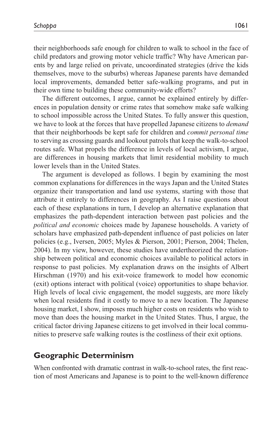their neighborhoods safe enough for children to walk to school in the face of child predators and growing motor vehicle traffic? Why have American parents by and large relied on private, uncoordinated strategies (drive the kids themselves, move to the suburbs) whereas Japanese parents have demanded local improvements, demanded better safe-walking programs, and put in their own time to building these community-wide efforts?

The different outcomes, I argue, cannot be explained entirely by differences in population density or crime rates that somehow make safe walking to school impossible across the United States. To fully answer this question, we have to look at the forces that have propelled Japanese citizens to *demand* that their neighborhoods be kept safe for children and *commit personal time* to serving as crossing guards and lookout patrols that keep the walk-to-school routes safe. What propels the difference in levels of local activism, I argue, are differences in housing markets that limit residential mobility to much lower levels than in the United States.

The argument is developed as follows. I begin by examining the most common explanations for differences in the ways Japan and the United States organize their transportation and land use systems, starting with those that attribute it entirely to differences in geography. As I raise questions about each of these explanations in turn, I develop an alternative explanation that emphasizes the path-dependent interaction between past policies and the *political and economic* choices made by Japanese households. A variety of scholars have emphasized path-dependent influence of past policies on later policies (e.g., Iversen, 2005; Myles & Pierson, 2001; Pierson, 2004; Thelen, 2004). In my view, however, these studies have undertheorized the relationship between political and economic choices available to political actors in response to past policies. My explanation draws on the insights of Albert Hirschman (1970) and his exit-voice framework to model how economic (exit) options interact with political (voice) opportunities to shape behavior. High levels of local civic engagement, the model suggests, are more likely when local residents find it costly to move to a new location. The Japanese housing market, I show, imposes much higher costs on residents who wish to move than does the housing market in the United States. Thus, I argue, the critical factor driving Japanese citizens to get involved in their local communities to preserve safe walking routes is the costliness of their exit options.

## **Geographic Determinism**

When confronted with dramatic contrast in walk-to-school rates, the first reaction of most Americans and Japanese is to point to the well-known difference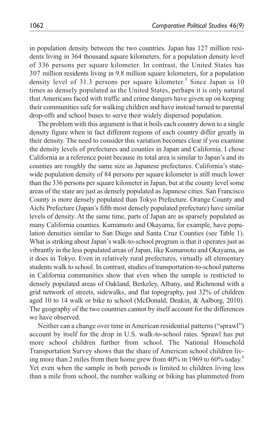in population density between the two countries. Japan has 127 million residents living in 364 thousand square kilometers, for a population density level of 336 persons per square kilometer. In contrast, the United States has 307 million residents living in 9.8 million square kilometers, for a population density level of 31.3 persons per square kilometer.<sup>5</sup> Since Japan is 10 times as densely populated as the United States, perhaps it is only natural that Americans faced with traffic and crime dangers have given up on keeping their communities safe for walking children and have instead turned to parental drop-offs and school buses to serve their widely dispersed population.

The problem with this argument is that it boils each country down to a single density figure when in fact different regions of each country differ greatly in their density. The need to consider this variation becomes clear if you examine the density levels of prefectures and counties in Japan and California. I chose California as a reference point because its total area is similar to Japan's and its counties are roughly the same size as Japanese prefectures. California's statewide population density of 84 persons per square kilometer is still much lower than the 336 persons per square kilometer in Japan, but at the county level some areas of the state are just as densely populated as Japanese cities. San Francisco County is more densely populated than Tokyo Prefecture. Orange County and Aichi Prefecture (Japan's fifth most densely populated prefecture) have similar levels of density. At the same time, parts of Japan are as sparsely populated as many California counties. Kumamoto and Okayama, for example, have population densities similar to San Diego and Santa Cruz Counties (see Table 1). What is striking about Japan's walk-to-school program is that it operates just as vibrantly in the less populated areas of Japan, like Kumamoto and Okayama, as it does in Tokyo. Even in relatively rural prefectures, virtually all elementary students walk to school. In contrast, studies of transportation-to-school patterns in California communities show that even when the sample is restricted to densely populated areas of Oakland, Berkeley, Albany, and Richmond with a grid network of streets, sidewalks, and flat topography, just 32% of children aged 10 to 14 walk or bike to school (McDonald, Deakin, & Aalborg, 2010). The geography of the two countries cannot by itself account for the differences we have observed.

Neither can a change over time in American residential patterns ("sprawl") account by itself for the drop in U.S. walk-to-school rates. Sprawl has put more school children further from school. The National Household Transportation Survey shows that the share of American school children living more than 2 miles from their home grew from 40% in 1969 to 60% today.<sup>6</sup> Yet even when the sample in both periods is limited to children living less than a mile from school, the number walking or biking has plummeted from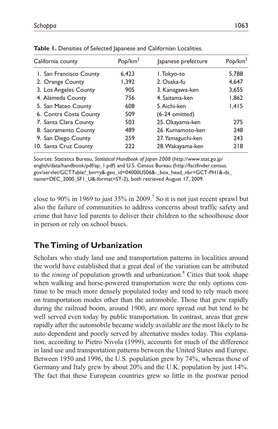|                         | Pop/ $km2$ | Japanese prefecture | Pop/ $km2$ |
|-------------------------|------------|---------------------|------------|
| California county       |            |                     |            |
| I. San Francisco County | 6,423      | I. Tokyo-to         | 5,788      |
| 2. Orange County        | 1.392      | 2. Osaka-fu         | 4,647      |
| 3. Los Angeles County   | 905        | 3. Kanagawa-ken     | 3,655      |
| 4. Alameda County       | 756        | 4. Saitama-ken      | 1,862      |
| 5. San Mateo County     | 608        | 5. Aichi-ken        | 1,415      |
| 6. Contra Costa County  | 509        | $(6-24$ omitted)    |            |
| 7. Santa Clara County   | 503        | 25. Okayama-ken     | 275        |
| 8. Sacramento County    | 489        | 26. Kumamoto-ken    | 248        |
| 9. San Diego County     | 259        | 27. Yamaguchi-ken   | 243        |
| 10. Santa Cruz County   | 222        | 28. Wakayama-ken    | 218        |

Table 1. Densities of Selected Japanese and Californian Localities.

Sources: Statistics Bureau, *Statistical Handbook of Japan 2008* (http://www.stat.go.jp/ english/data/handbook/pdf/ap\_1.pdf) and U.S. Census Bureau (http://factfinder.census. gov/servlet/GCTTable?\_bm=y&-geo\_id=04000US06&-\_box\_head\_nbr=GCT-PH1&-ds\_ name=DEC\_2000\_SF1\_U&-format=ST-2), both retrieved August 17, 2009.

close to 90% in 1969 to just 35% in 2009.<sup>7</sup> So it is not just recent sprawl but also the failure of communities to address concerns about traffic safety and crime that have led parents to deliver their children to the schoolhouse door in person or rely on school buses.

# **The Timing of Urbanization**

Scholars who study land use and transportation patterns in localities around the world have established that a great deal of the variation can be attributed to the *timing* of population growth and urbanization.<sup>8</sup> Cities that took shape when walking and horse-powered transportation were the only options continue to be much more densely populated today and tend to rely much more on transportation modes other than the automobile. Those that grew rapidly during the railroad boom, around 1900, are more spread out but tend to be well served even today by public transportation. In contrast, areas that grew rapidly after the automobile became widely available are the most likely to be auto dependent and poorly served by alternative modes today. This explanation, according to Pietro Nivola (1999), accounts for much of the difference in land use and transportation patterns between the United States and Europe. Between 1950 and 1996, the U.S. population grew by 74%, whereas those of Germany and Italy grew by about 20% and the U.K. population by just 14%. The fact that these European countries grew so little in the postwar period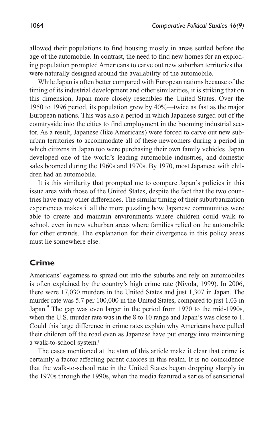allowed their populations to find housing mostly in areas settled before the age of the automobile. In contrast, the need to find new homes for an exploding population prompted Americans to carve out new suburban territories that were naturally designed around the availability of the automobile.

While Japan is often better compared with European nations because of the timing of its industrial development and other similarities, it is striking that on this dimension, Japan more closely resembles the United States. Over the 1950 to 1996 period, its population grew by 40%—twice as fast as the major European nations. This was also a period in which Japanese surged out of the countryside into the cities to find employment in the booming industrial sector. As a result, Japanese (like Americans) were forced to carve out new suburban territories to accommodate all of these newcomers during a period in which citizens in Japan too were purchasing their own family vehicles. Japan developed one of the world's leading automobile industries, and domestic sales boomed during the 1960s and 1970s. By 1970, most Japanese with children had an automobile.

It is this similarity that prompted me to compare Japan's policies in this issue area with those of the United States, despite the fact that the two countries have many other differences. The similar timing of their suburbanization experiences makes it all the more puzzling how Japanese communities were able to create and maintain environments where children could walk to school, even in new suburban areas where families relied on the automobile for other errands. The explanation for their divergence in this policy areas must lie somewhere else.

### **Crime**

Americans' eagerness to spread out into the suburbs and rely on automobiles is often explained by the country's high crime rate (Nivola, 1999). In 2006, there were 17,030 murders in the United States and just 1,307 in Japan. The murder rate was 5.7 per 100,000 in the United States, compared to just 1.03 in Japan.<sup>9</sup> The gap was even larger in the period from 1970 to the mid-1990s, when the U.S. murder rate was in the 8 to 10 range and Japan's was close to 1. Could this large difference in crime rates explain why Americans have pulled their children off the road even as Japanese have put energy into maintaining a walk-to-school system?

The cases mentioned at the start of this article make it clear that crime is certainly a factor affecting parent choices in this realm. It is no coincidence that the walk-to-school rate in the United States began dropping sharply in the 1970s through the 1990s, when the media featured a series of sensational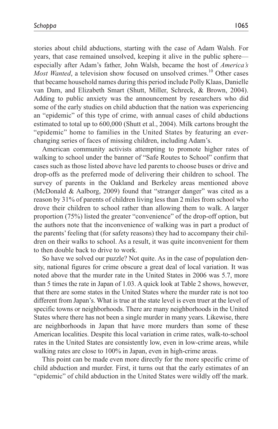stories about child abductions, starting with the case of Adam Walsh. For years, that case remained unsolved, keeping it alive in the public sphere especially after Adam's father, John Walsh, became the host of *America's Most Wanted*, a television show focused on unsolved crimes.<sup>10</sup> Other cases that became household names during this period include Polly Klaas, Danielle van Dam, and Elizabeth Smart (Shutt, Miller, Schreck, & Brown, 2004). Adding to public anxiety was the announcement by researchers who did some of the early studies on child abduction that the nation was experiencing an "epidemic" of this type of crime, with annual cases of child abductions estimated to total up to 600,000 (Shutt et al., 2004). Milk cartons brought the "epidemic" home to families in the United States by featuring an everchanging series of faces of missing children, including Adam's.

American community activists attempting to promote higher rates of walking to school under the banner of "Safe Routes to School" confirm that cases such as those listed above have led parents to choose buses or drive and drop-offs as the preferred mode of delivering their children to school. The survey of parents in the Oakland and Berkeley areas mentioned above (McDonald & Aalborg, 2009) found that "stranger danger" was cited as a reason by 31% of parents of children living less than 2 miles from school who drove their children to school rather than allowing them to walk. A larger proportion (75%) listed the greater "convenience" of the drop-off option, but the authors note that the inconvenience of walking was in part a product of the parents' feeling that (for safety reasons) they had to accompany their children on their walks to school. As a result, it was quite inconvenient for them to then double back to drive to work.

So have we solved our puzzle? Not quite. As in the case of population density, national figures for crime obscure a great deal of local variation. It was noted above that the murder rate in the United States in 2006 was 5.7, more than 5 times the rate in Japan of 1.03. A quick look at Table 2 shows, however, that there are some states in the United States where the murder rate is not too different from Japan's. What is true at the state level is even truer at the level of specific towns or neighborhoods. There are many neighborhoods in the United States where there has not been a single murder in many years. Likewise, there are neighborhoods in Japan that have more murders than some of these American localities. Despite this local variation in crime rates, walk-to-school rates in the United States are consistently low, even in low-crime areas, while walking rates are close to 100% in Japan, even in high-crime areas.

This point can be made even more directly for the more specific crime of child abduction and murder. First, it turns out that the early estimates of an "epidemic" of child abduction in the United States were wildly off the mark.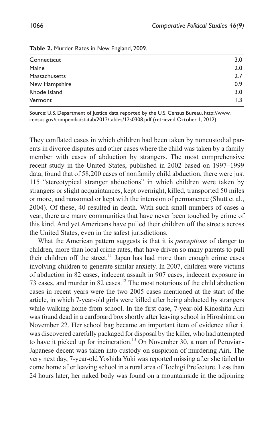| Connecticut   | 3.0              |
|---------------|------------------|
| Maine         | 2.0              |
| Massachusetts | 2.7              |
| New Hampshire | 0.9              |
| Rhode Island  | 3.0              |
| Vermont       | $\overline{1.3}$ |
|               |                  |

**Table 2.** Murder Rates in New England, 2009.

Source: U.S. Department of Justice data reported by the U.S. Census Bureau, http://www. census.gov/compendia/statab/2012/tables/12s0308.pdf (retrieved October 1, 2012).

They conflated cases in which children had been taken by noncustodial parents in divorce disputes and other cases where the child was taken by a family member with cases of abduction by strangers. The most comprehensive recent study in the United States, published in 2002 based on 1997–1999 data, found that of 58,200 cases of nonfamily child abduction, there were just 115 "stereotypical stranger abductions" in which children were taken by strangers or slight acquaintances, kept overnight, killed, transported 50 miles or more, and ransomed or kept with the intension of permanence (Shutt et al., 2004). Of these, 40 resulted in death. With such small numbers of cases a year, there are many communities that have never been touched by crime of this kind. And yet Americans have pulled their children off the streets across the United States, even in the safest jurisdictions.

What the American pattern suggests is that it is *perceptions* of danger to children, more than local crime rates, that have driven so many parents to pull their children off the street.<sup>11</sup> Japan has had more than enough crime cases involving children to generate similar anxiety. In 2007, children were victims of abduction in 82 cases, indecent assault in 907 cases, indecent exposure in 73 cases, and murder in 82 cases.<sup>12</sup> The most notorious of the child abduction cases in recent years were the two 2005 cases mentioned at the start of the article, in which 7-year-old girls were killed after being abducted by strangers while walking home from school. In the first case, 7-year-old Kinoshita Airi was found dead in a cardboard box shortly after leaving school in Hiroshima on November 22. Her school bag became an important item of evidence after it was discovered carefully packaged for disposal by the killer, who had attempted to have it picked up for incineration.<sup>13</sup> On November 30, a man of Peruvian-Japanese decent was taken into custody on suspicion of murdering Airi. The very next day, 7-year-old Yoshida Yuki was reported missing after she failed to come home after leaving school in a rural area of Tochigi Prefecture. Less than 24 hours later, her naked body was found on a mountainside in the adjoining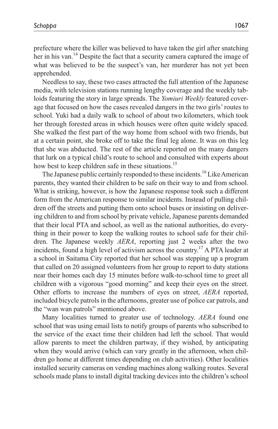prefecture where the killer was believed to have taken the girl after snatching her in his van.<sup>14</sup> Despite the fact that a security camera captured the image of what was believed to be the suspect's van, her murderer has not yet been apprehended.

Needless to say, these two cases attracted the full attention of the Japanese media, with television stations running lengthy coverage and the weekly tabloids featuring the story in large spreads. The *Yomiuri Weekly* featured coverage that focused on how the cases revealed dangers in the two girls' routes to school. Yuki had a daily walk to school of about two kilometers, which took her through forested areas in which houses were often quite widely spaced. She walked the first part of the way home from school with two friends, but at a certain point, she broke off to take the final leg alone. It was on this leg that she was abducted. The rest of the article reported on the many dangers that lurk on a typical child's route to school and consulted with experts about how best to keep children safe in these situations.<sup>15</sup>

The Japanese public certainly responded to these incidents.<sup>16</sup> Like American parents, they wanted their children to be safe on their way to and from school. What is striking, however, is how the Japanese response took such a different form from the American response to similar incidents. Instead of pulling children off the streets and putting them onto school buses or insisting on delivering children to and from school by private vehicle, Japanese parents demanded that their local PTA and school, as well as the national authorities, do everything in their power to keep the walking routes to school safe for their children. The Japanese weekly *AERA*, reporting just 2 weeks after the two incidents, found a high level of activism across the country.17 A PTA leader at a school in Saitama City reported that her school was stepping up a program that called on 20 assigned volunteers from her group to report to duty stations near their homes each day 15 minutes before walk-to-school time to greet all children with a vigorous "good morning" and keep their eyes on the street. Other efforts to increase the numbers of eyes on street, *AERA* reported, included bicycle patrols in the afternoons, greater use of police car patrols, and the "wan wan patrols" mentioned above.

Many localities turned to greater use of technology. *AERA* found one school that was using email lists to notify groups of parents who subscribed to the service of the exact time their children had left the school. That would allow parents to meet the children partway, if they wished, by anticipating when they would arrive (which can vary greatly in the afternoon, when children go home at different times depending on club activities). Other localities installed security cameras on vending machines along walking routes. Several schools made plans to install digital tracking devices into the children's school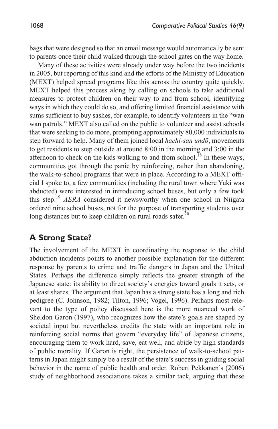bags that were designed so that an email message would automatically be sent to parents once their child walked through the school gates on the way home.

Many of these activities were already under way before the two incidents in 2005, but reporting of this kind and the efforts of the Ministry of Education (MEXT) helped spread programs like this across the country quite quickly. MEXT helped this process along by calling on schools to take additional measures to protect children on their way to and from school, identifying ways in which they could do so, and offering limited financial assistance with sums sufficient to buy sashes, for example, to identify volunteers in the "wan wan patrols." MEXT also called on the public to volunteer and assist schools that were seeking to do more, prompting approximately 80,000 individuals to step forward to help. Many of them joined local *hachi-san undō*, movements to get residents to step outside at around 8:00 in the morning and 3:00 in the afternoon to check on the kids walking to and from school.<sup>18</sup> In these ways, communities got through the panic by reinforcing, rather than abandoning, the walk-to-school programs that were in place. According to a MEXT official I spoke to, a few communities (including the rural town where Yuki was abducted) were interested in introducing school buses, but only a few took this step.<sup>19</sup> *AERA* considered it newsworthy when one school in Niigata ordered nine school buses, not for the purpose of transporting students over long distances but to keep children on rural roads safer.<sup>20</sup>

## **A Strong State?**

The involvement of the MEXT in coordinating the response to the child abduction incidents points to another possible explanation for the different response by parents to crime and traffic dangers in Japan and the United States. Perhaps the difference simply reflects the greater strength of the Japanese state: its ability to direct society's energies toward goals it sets, or at least shares. The argument that Japan has a strong state has a long and rich pedigree (C. Johnson, 1982; Tilton, 1996; Vogel, 1996). Perhaps most relevant to the type of policy discussed here is the more nuanced work of Sheldon Garon (1997), who recognizes how the state's goals are shaped by societal input but nevertheless credits the state with an important role in reinforcing social norms that govern "everyday life" of Japanese citizens, encouraging them to work hard, save, eat well, and abide by high standards of public morality. If Garon is right, the persistence of walk-to-school patterns in Japan might simply be a result of the state's success in guiding social behavior in the name of public health and order. Robert Pekkanen's (2006) study of neighborhood associations takes a similar tack, arguing that these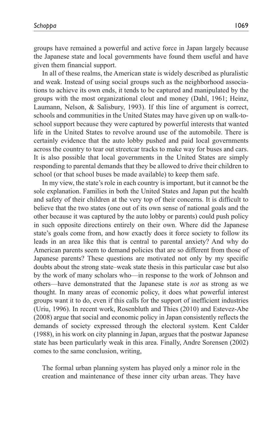groups have remained a powerful and active force in Japan largely because the Japanese state and local governments have found them useful and have given them financial support.

In all of these realms, the American state is widely described as pluralistic and weak. Instead of using social groups such as the neighborhood associations to achieve its own ends, it tends to be captured and manipulated by the groups with the most organizational clout and money (Dahl, 1961; Heinz, Laumann, Nelson, & Salisbury, 1993). If this line of argument is correct, schools and communities in the United States may have given up on walk-toschool support because they were captured by powerful interests that wanted life in the United States to revolve around use of the automobile. There is certainly evidence that the auto lobby pushed and paid local governments across the country to tear out streetcar tracks to make way for buses and cars. It is also possible that local governments in the United States are simply responding to parental demands that they be allowed to drive their children to school (or that school buses be made available) to keep them safe.

In my view, the state's role in each country is important, but it cannot be the sole explanation. Families in both the United States and Japan put the health and safety of their children at the very top of their concerns. It is difficult to believe that the two states (one out of its own sense of national goals and the other because it was captured by the auto lobby or parents) could push policy in such opposite directions entirely on their own. Where did the Japanese state's goals come from, and how exactly does it force society to follow its leads in an area like this that is central to parental anxiety? And why do American parents seem to demand policies that are so different from those of Japanese parents? These questions are motivated not only by my specific doubts about the strong state–weak state thesis in this particular case but also by the work of many scholars who—in response to the work of Johnson and others—have demonstrated that the Japanese state is *not* as strong as we thought. In many areas of economic policy, it does what powerful interest groups want it to do, even if this calls for the support of inefficient industries (Uriu, 1996). In recent work, Rosenbluth and Thies (2010) and Estevez-Abe (2008) argue that social and economic policy in Japan consistently reflects the demands of society expressed through the electoral system. Kent Calder (1988), in his work on city planning in Japan, argues that the postwar Japanese state has been particularly weak in this area. Finally, Andre Sorensen (2002) comes to the same conclusion, writing,

The formal urban planning system has played only a minor role in the creation and maintenance of these inner city urban areas. They have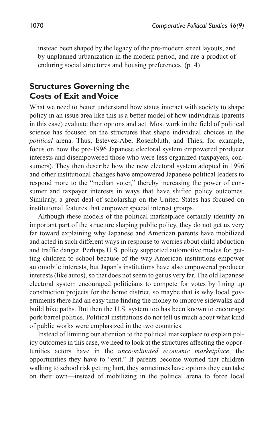instead been shaped by the legacy of the pre-modern street layouts, and by unplanned urbanization in the modern period, and are a product of enduring social structures and housing preferences. (p. 4)

# **Structures Governing the Costs of Exit and Voice**

What we need to better understand how states interact with society to shape policy in an issue area like this is a better model of how individuals (parents in this case) evaluate their options and act. Most work in the field of political science has focused on the structures that shape individual choices in the *political* arena. Thus, Estevez-Abe, Rosenbluth, and Thies, for example, focus on how the pre-1996 Japanese electoral system empowered producer interests and disempowered those who were less organized (taxpayers, consumers). They then describe how the new electoral system adopted in 1996 and other institutional changes have empowered Japanese political leaders to respond more to the "median voter," thereby increasing the power of consumer and taxpayer interests in ways that have shifted policy outcomes. Similarly, a great deal of scholarship on the United States has focused on institutional features that empower special interest groups.

Although these models of the political marketplace certainly identify an important part of the structure shaping public policy, they do not get us very far toward explaining why Japanese and American parents have mobilized and acted in such different ways in response to worries about child abduction and traffic danger. Perhaps U.S. policy supported automotive modes for getting children to school because of the way American institutions empower automobile interests, but Japan's institutions have also empowered producer interests (like autos), so that does not seem to get us very far. The old Japanese electoral system encouraged politicians to compete for votes by lining up construction projects for the home district, so maybe that is why local governments there had an easy time finding the money to improve sidewalks and build bike paths. But then the U.S. system too has been known to encourage pork barrel politics. Political institutions do not tell us much about what kind of public works were emphasized in the two countries.

Instead of limiting our attention to the political marketplace to explain policy outcomes in this case, we need to look at the structures affecting the opportunities actors have in the *uncoordinated economic marketplace*, the opportunities they have to "exit." If parents become worried that children walking to school risk getting hurt, they sometimes have options they can take on their own—instead of mobilizing in the political arena to force local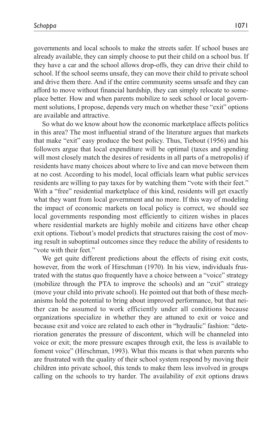governments and local schools to make the streets safer. If school buses are already available, they can simply choose to put their child on a school bus. If they have a car and the school allows drop-offs, they can drive their child to school. If the school seems unsafe, they can move their child to private school and drive them there. And if the entire community seems unsafe and they can afford to move without financial hardship, they can simply relocate to someplace better. How and when parents mobilize to seek school or local government solutions, I propose, depends very much on whether these "exit" options are available and attractive.

So what do we know about how the economic marketplace affects politics in this area? The most influential strand of the literature argues that markets that make "exit" easy produce the best policy. Thus, Tiebout (1956) and his followers argue that local expenditure will be optimal (taxes and spending will most closely match the desires of residents in all parts of a metropolis) if residents have many choices about where to live and can move between them at no cost. According to his model, local officials learn what public services residents are willing to pay taxes for by watching them "vote with their feet." With a "free" residential marketplace of this kind, residents will get exactly what they want from local government and no more. If this way of modeling the impact of economic markets on local policy is correct, we should see local governments responding most efficiently to citizen wishes in places where residential markets are highly mobile and citizens have other cheap exit options. Tiebout's model predicts that structures raising the cost of moving result in suboptimal outcomes since they reduce the ability of residents to "vote with their feet."

We get quite different predictions about the effects of rising exit costs, however, from the work of Hirschman (1970). In his view, individuals frustrated with the status quo frequently have a choice between a "voice" strategy (mobilize through the PTA to improve the schools) and an "exit" strategy (move your child into private school). He pointed out that both of these mechanisms hold the potential to bring about improved performance, but that neither can be assumed to work efficiently under all conditions because organizations specialize in whether they are attuned to exit or voice and because exit and voice are related to each other in "hydraulic" fashion: "deterioration generates the pressure of discontent, which will be channeled into voice or exit; the more pressure escapes through exit, the less is available to foment voice" (Hirschman, 1993). What this means is that when parents who are frustrated with the quality of their school system respond by moving their children into private school, this tends to make them less involved in groups calling on the schools to try harder. The availability of exit options draws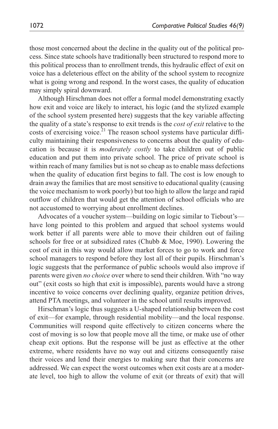those most concerned about the decline in the quality out of the political process. Since state schools have traditionally been structured to respond more to this political process than to enrollment trends, this hydraulic effect of exit on voice has a deleterious effect on the ability of the school system to recognize what is going wrong and respond. In the worst cases, the quality of education may simply spiral downward.

Although Hirschman does not offer a formal model demonstrating exactly how exit and voice are likely to interact, his logic (and the stylized example of the school system presented here) suggests that the key variable affecting the quality of a state's response to exit trends is the *cost of exit* relative to the costs of exercising voice.<sup>21</sup> The reason school systems have particular difficulty maintaining their responsiveness to concerns about the quality of education is because it is *moderately costly* to take children out of public education and put them into private school. The price of private school is within reach of many families but is not so cheap as to enable mass defections when the quality of education first begins to fall. The cost is low enough to drain away the families that are most sensitive to educational quality (causing the voice mechanism to work poorly) but too high to allow the large and rapid outflow of children that would get the attention of school officials who are not accustomed to worrying about enrollment declines.

Advocates of a voucher system—building on logic similar to Tiebout's have long pointed to this problem and argued that school systems would work better if all parents were able to move their children out of failing schools for free or at subsidized rates (Chubb & Moe, 1990). Lowering the cost of exit in this way would allow market forces to go to work and force school managers to respond before they lost all of their pupils. Hirschman's logic suggests that the performance of public schools would also improve if parents were given *no choice* over where to send their children. With "no way out" (exit costs so high that exit is impossible), parents would have a strong incentive to voice concerns over declining quality, organize petition drives, attend PTA meetings, and volunteer in the school until results improved.

Hirschman's logic thus suggests a U-shaped relationship between the cost of exit—for example, through residential mobility—and the local response. Communities will respond quite effectively to citizen concerns where the cost of moving is so low that people move all the time, or make use of other cheap exit options. But the response will be just as effective at the other extreme, where residents have no way out and citizens consequently raise their voices and lend their energies to making sure that their concerns are addressed. We can expect the worst outcomes when exit costs are at a moderate level, too high to allow the volume of exit (or threats of exit) that will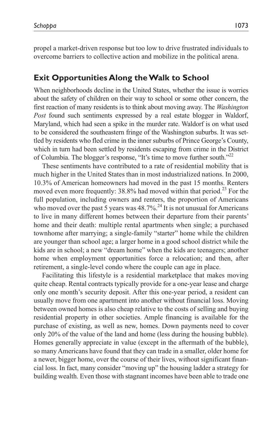propel a market-driven response but too low to drive frustrated individuals to overcome barriers to collective action and mobilize in the political arena.

## **Exit Opportunities Along the Walk to School**

When neighborhoods decline in the United States, whether the issue is worries about the safety of children on their way to school or some other concern, the first reaction of many residents is to think about moving away. The *Washington Post* found such sentiments expressed by a real estate blogger in Waldorf, Maryland, which had seen a spike in the murder rate. Waldorf is on what used to be considered the southeastern fringe of the Washington suburbs. It was settled by residents who fled crime in the inner suburbs of Prince George's County, which in turn had been settled by residents escaping from crime in the District of Columbia. The blogger's response, "It's time to move further south."22

These sentiments have contributed to a rate of residential mobility that is much higher in the United States than in most industrialized nations. In 2000, 10.3% of American homeowners had moved in the past 15 months. Renters moved even more frequently:  $38.8\%$  had moved within that period.<sup>23</sup> For the full population, including owners and renters, the proportion of Americans who moved over the past 5 years was  $48.7\%$ .<sup>24</sup> It is not unusual for Americans to live in many different homes between their departure from their parents' home and their death: multiple rental apartments when single; a purchased townhome after marrying; a single-family "starter" home while the children are younger than school age; a larger home in a good school district while the kids are in school; a new "dream home" when the kids are teenagers; another home when employment opportunities force a relocation; and then, after retirement, a single-level condo where the couple can age in place.

Facilitating this lifestyle is a residential marketplace that makes moving quite cheap. Rental contracts typically provide for a one-year lease and charge only one month's security deposit. After this one-year period, a resident can usually move from one apartment into another without financial loss. Moving between owned homes is also cheap relative to the costs of selling and buying residential property in other societies. Ample financing is available for the purchase of existing, as well as new, homes. Down payments need to cover only 20% of the value of the land and home (less during the housing bubble). Homes generally appreciate in value (except in the aftermath of the bubble), so many Americans have found that they can trade in a smaller, older home for a newer, bigger home, over the course of their lives, without significant financial loss. In fact, many consider "moving up" the housing ladder a strategy for building wealth. Even those with stagnant incomes have been able to trade one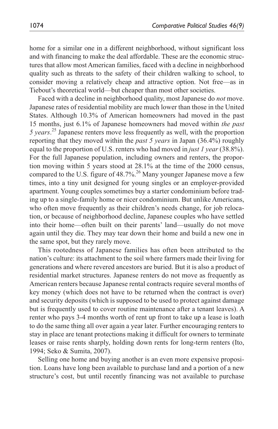home for a similar one in a different neighborhood, without significant loss and with financing to make the deal affordable. These are the economic structures that allow most American families, faced with a decline in neighborhood quality such as threats to the safety of their children walking to school, to consider moving a relatively cheap and attractive option. Not free—as in Tiebout's theoretical world—but cheaper than most other societies.

Faced with a decline in neighborhood quality, most Japanese do *not* move. Japanese rates of residential mobility are much lower than those in the United States. Although 10.3% of American homeowners had moved in the past 15 months, just 6.1% of Japanese homeowners had moved within *the past 5 years*. 25 Japanese renters move less frequently as well, with the proportion reporting that they moved within the *past 5 years* in Japan (36.4%) roughly equal to the proportion of U.S. renters who had moved in *just 1 year* (38.8%). For the full Japanese population, including owners and renters, the proportion moving within 5 years stood at 28.1% at the time of the 2000 census, compared to the U.S. figure of  $48.7\%$ .<sup>26</sup> Many younger Japanese move a few times, into a tiny unit designed for young singles or an employer-provided apartment. Young couples sometimes buy a starter condominium before trading up to a single-family home or nicer condominium. But unlike Americans, who often move frequently as their children's needs change, for job relocation, or because of neighborhood decline, Japanese couples who have settled into their home—often built on their parents' land—usually do not move again until they die. They may tear down their home and build a new one in the same spot, but they rarely move.

This rootedness of Japanese families has often been attributed to the nation's culture: its attachment to the soil where farmers made their living for generations and where revered ancestors are buried. But it is also a product of residential market structures. Japanese renters do not move as frequently as American renters because Japanese rental contracts require several months of key money (which does not have to be returned when the contract is over) and security deposits (which is supposed to be used to protect against damage but is frequently used to cover routine maintenance after a tenant leaves). A renter who pays 3-4 months worth of rent up front to take up a lease is loath to do the same thing all over again a year later. Further encouraging renters to stay in place are tenant protections making it difficult for owners to terminate leases or raise rents sharply, holding down rents for long-term renters (Ito, 1994; Seko & Sumita, 2007).

Selling one home and buying another is an even more expensive proposition. Loans have long been available to purchase land and a portion of a new structure's cost, but until recently financing was not available to purchase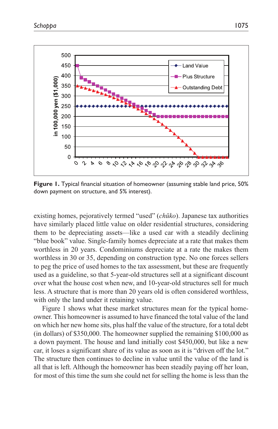

**Figure 1.** Typical financial situation of homeowner (assuming stable land price, 50% down payment on structure, and 5% interest).

existing homes, pejoratively termed "used" (*chūko*). Japanese tax authorities have similarly placed little value on older residential structures, considering them to be depreciating assets—like a used car with a steadily declining "blue book" value. Single-family homes depreciate at a rate that makes them worthless in 20 years. Condominiums depreciate at a rate the makes them worthless in 30 or 35, depending on construction type. No one forces sellers to peg the price of used homes to the tax assessment, but these are frequently used as a guideline, so that 5-year-old structures sell at a significant discount over what the house cost when new, and 10-year-old structures sell for much less. A structure that is more than 20 years old is often considered worthless, with only the land under it retaining value.

Figure 1 shows what these market structures mean for the typical homeowner. This homeowner is assumed to have financed the total value of the land on which her new home sits, plus half the value of the structure, for a total debt (in dollars) of \$350,000. The homeowner supplied the remaining \$100,000 as a down payment. The house and land initially cost \$450,000, but like a new car, it loses a significant share of its value as soon as it is "driven off the lot." The structure then continues to decline in value until the value of the land is all that is left. Although the homeowner has been steadily paying off her loan, for most of this time the sum she could net for selling the home is less than the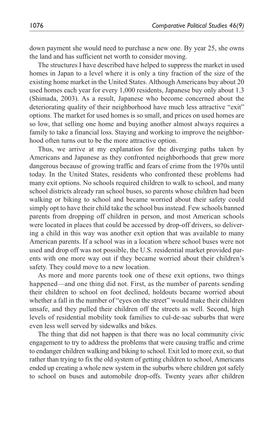down payment she would need to purchase a new one. By year 25, she owns the land and has sufficient net worth to consider moving.

The structures I have described have helped to suppress the market in used homes in Japan to a level where it is only a tiny fraction of the size of the existing home market in the United States. Although Americans buy about 20 used homes each year for every 1,000 residents, Japanese buy only about 1.3 (Shimada, 2003). As a result, Japanese who become concerned about the deteriorating quality of their neighborhood have much less attractive "exit" options. The market for used homes is so small, and prices on used homes are so low, that selling one home and buying another almost always requires a family to take a financial loss. Staying and working to improve the neighborhood often turns out to be the more attractive option.

Thus, we arrive at my explanation for the diverging paths taken by Americans and Japanese as they confronted neighborhoods that grew more dangerous because of growing traffic and fears of crime from the 1970s until today. In the United States, residents who confronted these problems had many exit options. No schools required children to walk to school, and many school districts already ran school buses, so parents whose children had been walking or biking to school and became worried about their safety could simply opt to have their child take the school bus instead. Few schools banned parents from dropping off children in person, and most American schools were located in places that could be accessed by drop-off drivers, so delivering a child in this way was another exit option that was available to many American parents. If a school was in a location where school buses were not used and drop off was not possible, the U.S. residential market provided parents with one more way out if they became worried about their children's safety. They could move to a new location.

As more and more parents took one of these exit options, two things happened—and one thing did not. First, as the number of parents sending their children to school on foot declined, holdouts became worried about whether a fall in the number of "eyes on the street" would make their children unsafe, and they pulled their children off the streets as well. Second, high levels of residential mobility took families to cul-de-sac suburbs that were even less well served by sidewalks and bikes.

The thing that did not happen is that there was no local community civic engagement to try to address the problems that were causing traffic and crime to endanger children walking and biking to school. Exit led to more exit, so that rather than trying to fix the old system of getting children to school, Americans ended up creating a whole new system in the suburbs where children got safely to school on buses and automobile drop-offs. Twenty years after children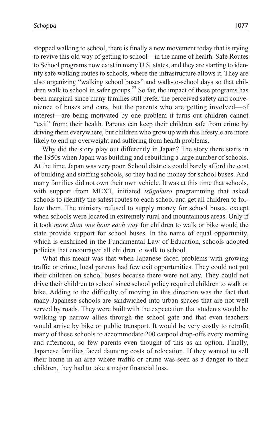stopped walking to school, there is finally a new movement today that is trying to revive this old way of getting to school—in the name of health. Safe Routes to School programs now exist in many U.S. states, and they are starting to identify safe walking routes to schools, where the infrastructure allows it. They are also organizing "walking school buses" and walk-to-school days so that children walk to school in safer groups.<sup>27</sup> So far, the impact of these programs has been marginal since many families still prefer the perceived safety and convenience of buses and cars, but the parents who are getting involved—of interest—are being motivated by one problem it turns out children cannot "exit" from: their health. Parents can keep their children safe from crime by driving them everywhere, but children who grow up with this lifestyle are more likely to end up overweight and suffering from health problems.

Why did the story play out differently in Japan? The story there starts in the 1950s when Japan was building and rebuilding a large number of schools. At the time, Japan was very poor. School districts could barely afford the cost of building and staffing schools, so they had no money for school buses. And many families did not own their own vehicle. It was at this time that schools, with support from MEXT, initiated *tsūgakuro* programming that asked schools to identify the safest routes to each school and get all children to follow them. The ministry refused to supply money for school buses, except when schools were located in extremely rural and mountainous areas. Only if it took *more than one hour each way* for children to walk or bike would the state provide support for school buses. In the name of equal opportunity, which is enshrined in the Fundamental Law of Education, schools adopted policies that encouraged all children to walk to school.

What this meant was that when Japanese faced problems with growing traffic or crime, local parents had few exit opportunities. They could not put their children on school buses because there were not any. They could not drive their children to school since school policy required children to walk or bike. Adding to the difficulty of moving in this direction was the fact that many Japanese schools are sandwiched into urban spaces that are not well served by roads. They were built with the expectation that students would be walking up narrow allies through the school gate and that even teachers would arrive by bike or public transport. It would be very costly to retrofit many of these schools to accommodate 200 carpool drop-offs every morning and afternoon, so few parents even thought of this as an option. Finally, Japanese families faced daunting costs of relocation. If they wanted to sell their home in an area where traffic or crime was seen as a danger to their children, they had to take a major financial loss.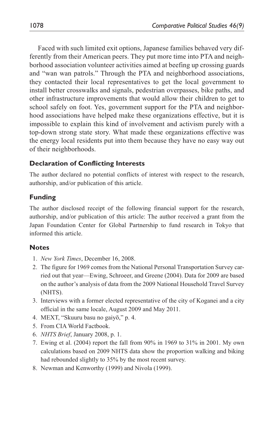Faced with such limited exit options, Japanese families behaved very differently from their American peers. They put more time into PTA and neighborhood association volunteer activities aimed at beefing up crossing guards and "wan wan patrols." Through the PTA and neighborhood associations, they contacted their local representatives to get the local government to install better crosswalks and signals, pedestrian overpasses, bike paths, and other infrastructure improvements that would allow their children to get to school safely on foot. Yes, government support for the PTA and neighborhood associations have helped make these organizations effective, but it is impossible to explain this kind of involvement and activism purely with a top-down strong state story. What made these organizations effective was the energy local residents put into them because they have no easy way out of their neighborhoods.

#### **Declaration of Conflicting Interests**

The author declared no potential conflicts of interest with respect to the research, authorship, and/or publication of this article.

## **Funding**

The author disclosed receipt of the following financial support for the research, authorship, and/or publication of this article: The author received a grant from the Japan Foundation Center for Global Partnership to fund research in Tokyo that informed this article.

### **Notes**

- 1. *New York Times*, December 16, 2008.
- 2. The figure for 1969 comes from the National Personal Transportation Survey carried out that year—Ewing, Schroeer, and Greene (2004). Data for 2009 are based on the author's analysis of data from the 2009 National Household Travel Survey (NHTS).
- 3. Interviews with a former elected representative of the city of Koganei and a city official in the same locale, August 2009 and May 2011.
- 4. MEXT, "Skuuru basu no gaiyō," p. 4.
- 5. From CIA World Factbook.
- 6. *NHTS Brief*, January 2008, p. 1.
- 7. Ewing et al. (2004) report the fall from 90% in 1969 to 31% in 2001. My own calculations based on 2009 NHTS data show the proportion walking and biking had rebounded slightly to 35% by the most recent survey.
- 8. Newman and Kenworthy (1999) and Nivola (1999).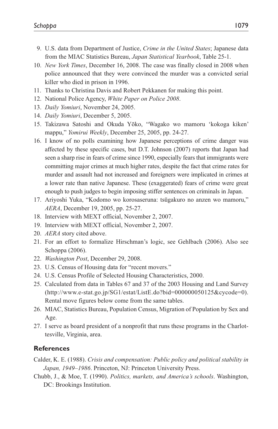- 9. U.S. data from Department of Justice, *Crime in the United States*; Japanese data from the MIAC Statistics Bureau, *Japan Statistical Yearbook*, Table 25-1.
- 10. *New York Times*, December 16, 2008. The case was finally closed in 2008 when police announced that they were convinced the murder was a convicted serial killer who died in prison in 1996.
- 11. Thanks to Christina Davis and Robert Pekkanen for making this point.
- 12. National Police Agency, *White Paper on Police 2008*.
- 13. *Daily Yomiuri*, November 24, 2005.
- 14. *Daily Yomiuri*, December 5, 2005.
- 15. Takizawa Satoshi and Okuda Yōko, "Wagako wo mamoru 'kokoga kiken' mappu," *Yomirui Weekly*, December 25, 2005, pp. 24-27.
- 16. I know of no polls examining how Japanese perceptions of crime danger was affected by these specific cases, but D.T. Johnson (2007) reports that Japan had seen a sharp rise in fears of crime since 1990, especially fears that immigrants were committing major crimes at much higher rates, despite the fact that crime rates for murder and assault had not increased and foreigners were implicated in crimes at a lower rate than native Japanese. These (exaggerated) fears of crime were great enough to push judges to begin imposing stiffer sentences on criminals in Japan.
- 17. Ariyoshi Yuka, "Kodomo wo korosaseruna: tsūgakuro no anzen wo mamoru," *AERA*, December 19, 2005, pp. 25-27.
- 18. Interview with MEXT official, November 2, 2007.
- 19. Interview with MEXT official, November 2, 2007.
- 20. *AERA* story cited above.
- 21. For an effort to formalize Hirschman's logic, see Gehlbach (2006). Also see Schoppa (2006).
- 22. *Washington Post*, December 29, 2008.
- 23. U.S. Census of Housing data for "recent movers."
- 24. U.S. Census Profile of Selected Housing Characteristics, 2000.
- 25. Calculated from data in Tables 67 and 37 of the 2003 Housing and Land Survey  $(\text{http://www.e-stat.gov.jp/SG1/estat/ListE.do?bid=000000050125&cycode=0).$ Rental move figures below come from the same tables.
- 26. MIAC, Statistics Bureau, Population Census, Migration of Population by Sex and Age.
- 27. I serve as board president of a nonprofit that runs these programs in the Charlottesville, Virginia, area.

#### **References**

- Calder, K. E. (1988). *Crisis and compensation: Public policy and political stability in Japan, 1949–1986*. Princeton, NJ: Princeton University Press.
- Chubb, J., & Moe, T. (1990). *Politics, markets, and America's schools*. Washington, DC: Brookings Institution.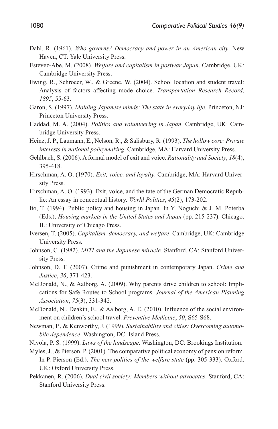- Dahl, R. (1961). *Who governs? Democracy and power in an American city*. New Haven, CT: Yale University Press.
- Estevez-Abe, M. (2008). *Welfare and capitalism in postwar Japan*. Cambridge, UK: Cambridge University Press.
- Ewing, R., Schroeer, W., & Greene, W. (2004). School location and student travel: Analysis of factors affecting mode choice. *Transportation Research Record*, *1895*, 55-63.
- Garon, S. (1997). *Molding Japanese minds: The state in everyday life*. Princeton, NJ: Princeton University Press.
- Haddad, M. A. (2004). *Politics and volunteering in Japan*. Cambridge, UK: Cambridge University Press.
- Heinz, J. P., Laumann, E., Nelson, R., & Salisbury, R. (1993). *The hollow core: Private interests in national policymaking*. Cambridge, MA: Harvard University Press.
- Gehlbach, S. (2006). A formal model of exit and voice. *Rationality and Society*, *18*(4), 395-418.
- Hirschman, A. O. (1970). *Exit, voice, and loyalty*. Cambridge, MA: Harvard University Press.
- Hirschman, A. O. (1993). Exit, voice, and the fate of the German Democratic Republic: An essay in conceptual history. *World Politics*, *45*(2), 173-202.
- Ito, T. (1994). Public policy and housing in Japan. In Y. Noguchi & J. M. Poterba (Eds.), *Housing markets in the United States and Japan* (pp. 215-237). Chicago, IL: University of Chicago Press.
- Iversen, T. (2005). *Capitalism, democracy, and welfare*. Cambridge, UK: Cambridge University Press.
- Johnson, C. (1982). *MITI and the Japanese miracle*. Stanford, CA: Stanford University Press.
- Johnson, D. T. (2007). Crime and punishment in contemporary Japan. *Crime and Justice*, *36*, 371-423.
- McDonald, N., & Aalborg, A. (2009). Why parents drive children to school: Implications for Safe Routes to School programs. *Journal of the American Planning Association*, *75*(3), 331-342.
- McDonald, N., Deakin, E., & Aalborg, A. E. (2010). Influence of the social environment on children's school travel. *Preventive Medicine*, *50*, S65-S68.
- Newman, P., & Kenworthy, J. (1999). *Sustainability and cities: Overcoming automobile dependence*. Washington, DC: Island Press.
- Nivola, P. S. (1999). *Laws of the landscape*. Washington, DC: Brookings Institution.
- Myles, J., & Pierson, P. (2001). The comparative political economy of pension reform. In P. Pierson (Ed.), *The new politics of the welfare state* (pp. 305-333). Oxford, UK: Oxford University Press.
- Pekkanen, R. (2006). *Dual civil society: Members without advocates*. Stanford, CA: Stanford University Press.